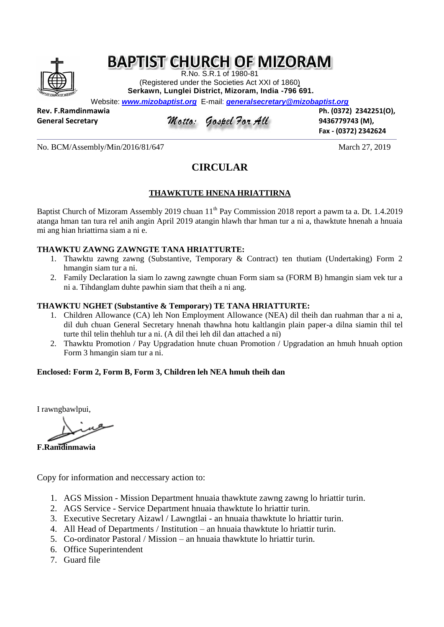# **BAPTIST CHURCH OF MIZORAM**

R.No. S.R.1 of 1980-81 (Registered under the Societies Act XXI of 1860) **Serkawn, Lunglei District, Mizoram, India -796 691.**

Website: *[www.mizobaptist.org](http://www.mizobaptist.org/)* E-mail: *generalsecretary@mizobaptist.org*

**Rev. F.Ramdinmawia Ph. (0372) 2342251(O),** 

### General Secretary *Motto: Gospel For All* 9436779743 (M),

**Fax - (0372) 2342624**

No. BCM/Assembly/Min/2016/81/647 March 27, 2019

### **CIRCULAR**

### **THAWKTUTE HNENA HRIATTIRNA**

Baptist Church of Mizoram Assembly 2019 chuan 11<sup>th</sup> Pay Commission 2018 report a pawm ta a. Dt. 1.4.2019 atanga hman tan tura rel anih angin April 2019 atangin hlawh thar hman tur a ni a, thawktute hnenah a hnuaia mi ang hian hriattirna siam a ni e.

#### **THAWKTU ZAWNG ZAWNGTE TANA HRIATTURTE:**

- 1. Thawktu zawng zawng (Substantive, Temporary & Contract) ten thutiam (Undertaking) Form 2 hmangin siam tur a ni.
- 2. Family Declaration la siam lo zawng zawngte chuan Form siam sa (FORM B) hmangin siam vek tur a ni a. Tihdanglam duhte pawhin siam that theih a ni ang.

#### **THAWKTU NGHET (Substantive & Temporary) TE TANA HRIATTURTE:**

- 1. Children Allowance (CA) leh Non Employment Allowance (NEA) dil theih dan ruahman thar a ni a, dil duh chuan General Secretary hnenah thawhna hotu kaltlangin plain paper-a dilna siamin thil tel turte thil telin thehluh tur a ni. (A dil thei leh dil dan attached a ni)
- 2. Thawktu Promotion / Pay Upgradation hnute chuan Promotion / Upgradation an hmuh hnuah option Form 3 hmangin siam tur a ni.

### **Enclosed: Form 2, Form B, Form 3, Children leh NEA hmuh theih dan**

I rawngbawlpui,

**F.Ramdinmawia**

Copy for information and neccessary action to:

- 1. AGS Mission Mission Department hnuaia thawktute zawng zawng lo hriattir turin.
- 2. AGS Service Service Department hnuaia thawktute lo hriattir turin.
- 3. Executive Secretary Aizawl / Lawngtlai an hnuaia thawktute lo hriattir turin.
- 4. All Head of Departments / Institution an hnuaia thawktute lo hriattir turin.
- 5. Co-ordinator Pastoral / Mission an hnuaia thawktute lo hriattir turin.
- 6. Office Superintendent
- 7. Guard file

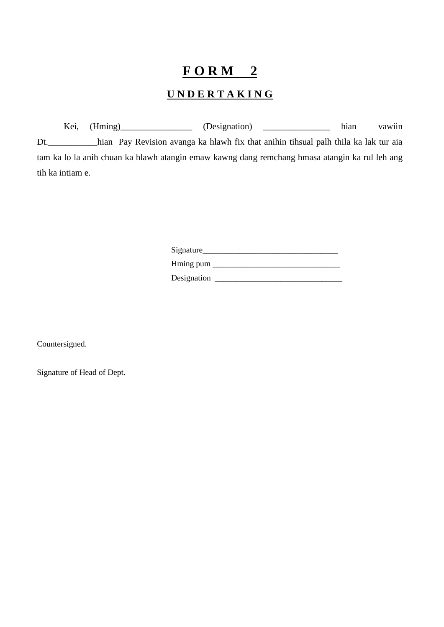# **F O R M 2**

## **U N D E R T A K I N G**

Kei, (Hming) (Designation) \_\_\_\_\_\_\_\_\_\_\_\_\_\_ hian vawiin Dt.\_\_\_\_\_\_\_\_\_\_\_hian Pay Revision avanga ka hlawh fix that anihin tihsual palh thila ka lak tur aia tam ka lo la anih chuan ka hlawh atangin emaw kawng dang remchang hmasa atangin ka rul leh ang tih ka intiam e.

| Signature   |  |
|-------------|--|
| Hming pum   |  |
| Designation |  |

Countersigned.

Signature of Head of Dept.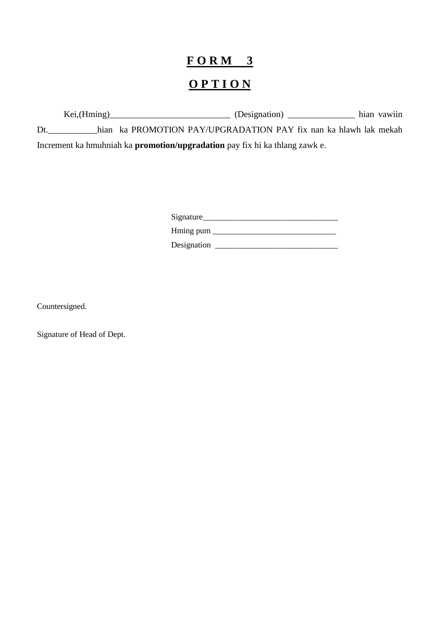# $FORM$  3 OPTION

|     | Kei,(Hming) | (Designation)                                                                      | hian vawiin |
|-----|-------------|------------------------------------------------------------------------------------|-------------|
| Dt. |             | hian ka PROMOTION PAY/UPGRADATION PAY fix nan ka hlawh lak mekah                   |             |
|     |             | Increment ka hmuhniah ka <b>promotion/upgradation</b> pay fix hi ka thlang zawk e. |             |

| Signature |  |
|-----------|--|
| Hming pum |  |

Countersigned.

Signature of Head of Dept.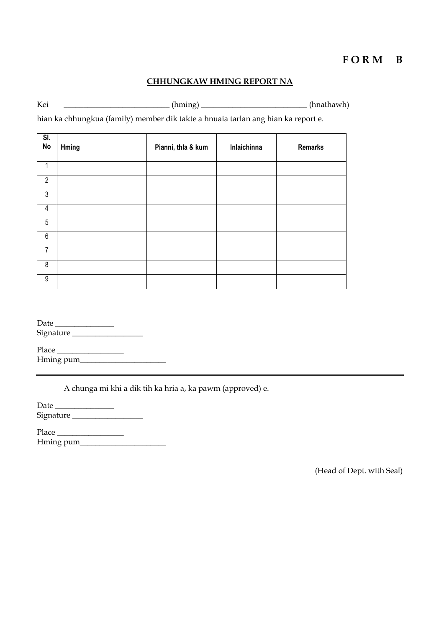### **F O R M B**

#### **CHHUNGKAW HMING REPORT NA**

Kei \_\_\_\_\_\_\_\_\_\_\_\_\_\_\_\_\_\_\_\_\_\_\_\_\_\_\_\_\_\_(hming) \_\_\_\_\_\_\_\_\_\_\_\_\_\_\_\_\_\_\_\_\_\_\_\_\_\_\_\_\_\_\_\_\_(hnathawh)

hian ka chhungkua (family) member dik takte a hnuaia tarlan ang hian ka report e.

| SI.<br>No      | Hming | Pianni, thla & kum | Inlaichinna | <b>Remarks</b> |
|----------------|-------|--------------------|-------------|----------------|
| 1              |       |                    |             |                |
| $\overline{2}$ |       |                    |             |                |
| $\overline{3}$ |       |                    |             |                |
| $\overline{4}$ |       |                    |             |                |
| 5              |       |                    |             |                |
| $6\phantom{.}$ |       |                    |             |                |
| $\overline{7}$ |       |                    |             |                |
| 8              |       |                    |             |                |
| 9              |       |                    |             |                |

| Date      |  |
|-----------|--|
| Signature |  |
|           |  |

| Place     |  |
|-----------|--|
| Hming pum |  |

A chunga mi khi a dik tih ka hria a, ka pawm (approved) e.

| Date      |  |
|-----------|--|
| Signature |  |

| Place     |  |
|-----------|--|
| Hming pum |  |

(Head of Dept. with Seal)